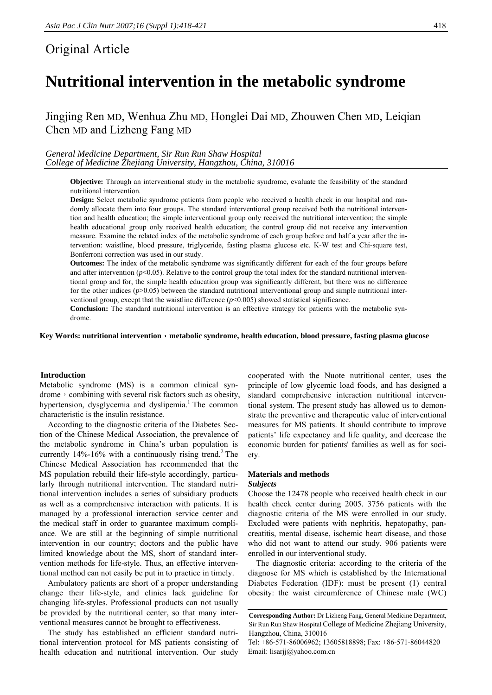# Original Article

# **Nutritional intervention in the metabolic syndrome**

Jingjing Ren MD, Wenhua Zhu MD, Honglei Dai MD, Zhouwen Chen MD, Leiqian Chen MD and Lizheng Fang MD

*General Medicine Department, Sir Run Run Shaw Hospital College of Medicine Zhejiang University, Hangzhou, China, 310016* 

> **Objective:** Through an interventional study in the metabolic syndrome, evaluate the feasibility of the standard nutritional intervention.

> **Design:** Select metabolic syndrome patients from people who received a health check in our hospital and randomly allocate them into four groups. The standard interventional group received both the nutritional intervention and health education; the simple interventional group only received the nutritional intervention; the simple health educational group only received health education; the control group did not receive any intervention measure. Examine the related index of the metabolic syndrome of each group before and half a year after the intervention: waistline, blood pressure, triglyceride, fasting plasma glucose etc. K-W test and Chi-square test, Bonferroni correction was used in our study.

> **Outcomes:** The index of the metabolic syndrome was significantly different for each of the four groups before and after intervention ( $p<0.05$ ). Relative to the control group the total index for the standard nutritional interventional group and for, the simple health education group was significantly different, but there was no difference for the other indices ( $p$ >0.05) between the standard nutritional interventional group and simple nutritional interventional group, except that the waistline difference (*p*<0.005) showed statistical significance.

> **Conclusion:** The standard nutritional intervention is an effective strategy for patients with the metabolic syndrome.

Key Words: nutritional intervention, metabolic syndrome, health education, blood pressure, fasting plasma glucose

# **Introduction**

Metabolic syndrome (MS) is a common clinical syndrome, combining with several risk factors such as obesity, hypertension, dysglycemia and dyslipemia.<sup>1</sup> The common characteristic is the insulin resistance.

According to the diagnostic criteria of the Diabetes Section of the Chinese Medical Association, the prevalence of the metabolic syndrome in China's urban population is currently  $14\% - 16\%$  with a continuously rising trend.<sup>2</sup> The Chinese Medical Association has recommended that the MS population rebuild their life-style accordingly, particularly through nutritional intervention. The standard nutritional intervention includes a series of subsidiary products as well as a comprehensive interaction with patients. It is managed by a professional interaction service center and the medical staff in order to guarantee maximum compliance. We are still at the beginning of simple nutritional intervention in our country; doctors and the public have limited knowledge about the MS, short of standard intervention methods for life-style. Thus, an effective interventional method can not easily be put in to practice in timely.

Ambulatory patients are short of a proper understanding change their life-style, and clinics lack guideline for changing life-styles. Professional products can not usually be provided by the nutritional center, so that many interventional measures cannot be brought to effectiveness.

The study has established an efficient standard nutritional intervention protocol for MS patients consisting of health education and nutritional intervention. Our study

cooperated with the Nuote nutritional center, uses the principle of low glycemic load foods, and has designed a standard comprehensive interaction nutritional interventional system. The present study has allowed us to demonstrate the preventive and therapeutic value of interventional measures for MS patients. It should contribute to improve patients' life expectancy and life quality, and decrease the economic burden for patients' families as well as for society.

### **Materials and methods**  *Subjects*

Choose the 12478 people who received health check in our health check center during 2005. 3756 patients with the diagnostic criteria of the MS were enrolled in our study. Excluded were patients with nephritis, hepatopathy, pancreatitis, mental disease, ischemic heart disease, and those who did not want to attend our study. 906 patients were enrolled in our interventional study.

The diagnostic criteria: according to the criteria of the diagnose for MS which is established by the International Diabetes Federation (IDF): must be present (1) central obesity: the waist circumference of Chinese male (WC)

**Corresponding Author:** Dr Lizheng Fang, General Medicine Department, Sir Run Run Shaw Hospital College of Medicine Zhejiang University, Hangzhou, China, 310016

Tel: +86-571-86006962; 13605818898; Fax: +86-571-86044820 Email: lisarjj@yahoo.com.cn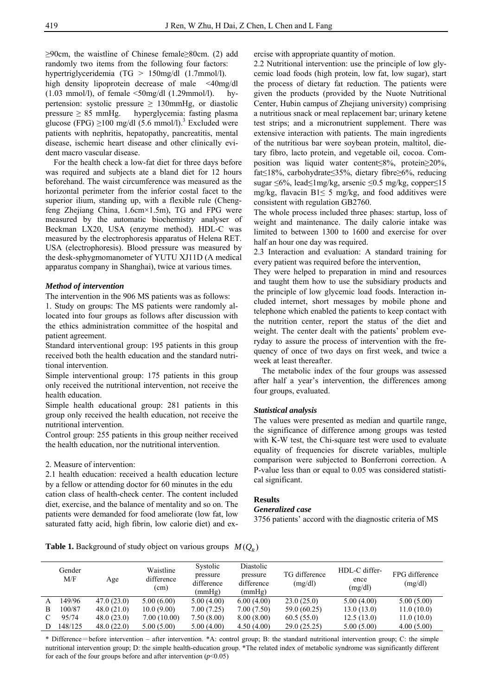≥90cm, the waistline of Chinese female≥80cm. (2) add randomly two items from the following four factors: hypertriglyceridemia (TG > 150mg/dl (1.7mmol/l).

high density lipoprotein decrease of male <40mg/dl  $(1.03 \text{ mmol/l})$ , of female  $\leq 50 \text{ mg/dl}$   $(1.29 \text{ mmol/l})$ . hypertension: systolic pressure  $\geq$  130mmHg, or diastolic pressure  $\geq 85$  mmHg. hyperglycemia: fasting plasma glucose (FPG)  $\geq$ 100 mg/dl (5.6 mmol/l).<sup>3</sup> Excluded were patients with nephritis, hepatopathy, pancreatitis, mental disease, ischemic heart disease and other clinically evident macro vascular disease.

For the health check a low-fat diet for three days before was required and subjects ate a bland diet for 12 hours beforehand. The waist circumference was measured as the horizontal perimeter from the inferior costal facet to the superior ilium, standing up, with a flexible rule (Chengfeng Zhejiang China, 1.6cm×1.5m), TG and FPG were measured by the automatic biochemistry analyser of Beckman LX20, USA (enzyme method). HDL-C was measured by the electrophoresis apparatus of Helena RET. USA (electrophoresis). Blood pressure was measured by the desk-sphygmomanometer of YUTU XJ11D (A medical apparatus company in Shanghai), twice at various times.

#### *Method of intervention*

The intervention in the 906 MS patients was as follows:

1. Study on groups: The MS patients were randomly allocated into four groups as follows after discussion with the ethics administration committee of the hospital and patient agreement.

Standard interventional group: 195 patients in this group received both the health education and the standard nutritional intervention.

Simple interventional group: 175 patients in this group only received the nutritional intervention, not receive the health education.

Simple health educational group: 281 patients in this group only received the health education, not receive the nutritional intervention.

Control group: 255 patients in this group neither received the health education, nor the nutritional intervention.

#### 2. Measure of intervention:

2.1 health education: received a health education lecture by a fellow or attending doctor for 60 minutes in the edu cation class of health-check center. The content included diet, exercise, and the balance of mentality and so on. The patients were demanded for food ameliorate (low fat, low saturated fatty acid, high fibrin, low calorie diet) and exercise with appropriate quantity of motion.

2.2 Nutritional intervention: use the principle of low glycemic load foods (high protein, low fat, low sugar), start the process of dietary fat reduction. The patients were given the products (provided by the Nuote Nutritional Center, Hubin campus of Zhejiang university) comprising a nutritious snack or meal replacement bar; urinary ketene test strips; and a micronutrient supplement. There was extensive interaction with patients. The main ingredients of the nutritious bar were soybean protein, maltitol, dietary fibro, lacto protein, and vegetable oil, cocoa. Composition was liquid water content≤8%, protein≥20%, fat≤18%, carbohydrate≤35%, dietary fibre≥6%, reducing sugar ≤6%, lead≤1mg/kg, arsenic ≤0.5 mg/kg, copper≤15 mg/kg, flavacin  $B1 \le 5$  mg/kg, and food additives were consistent with regulation GB2760.

The whole process included three phases: startup, loss of weight and maintenance. The daily calorie intake was limited to between 1300 to 1600 and exercise for over half an hour one day was required.

2.3 Interaction and evaluation: A standard training for every patient was required before the intervention,

They were helped to preparation in mind and resources and taught them how to use the subsidiary products and the principle of low glycemic load foods. Interaction included internet, short messages by mobile phone and telephone which enabled the patients to keep contact with the nutrition center, report the status of the diet and weight. The center dealt with the patients' problem everyday to assure the process of intervention with the frequency of once of two days on first week, and twice a week at least thereafter.

The metabolic index of the four groups was assessed after half a year's intervention, the differences among four groups, evaluated.

#### *Statistical analysis*

The values were presented as median and quartile range, the significance of difference among groups was tested with K-W test, the Chi-square test were used to evaluate equality of frequencies for discrete variables, multiple comparison were subjected to Bonferroni correction. A P-value less than or equal to 0.05 was considered statistical significant.

#### **Results**

# *Generalized case*

3756 patients' accord with the diagnostic criteria of MS

**Table 1.** Background of study object on various groups  $M(O_n)$ 

|              | Gender<br>M/F | Age        | Waistline<br>difference<br>(cm) | Systolic<br>pressure<br>difference<br>(mmHg) | Diastolic<br>pressure<br>difference<br>(mmHg) | TG difference<br>(mg/dl) | HDL-C differ-<br>ence<br>(mg/dl) | FPG difference<br>(mg/dl) |
|--------------|---------------|------------|---------------------------------|----------------------------------------------|-----------------------------------------------|--------------------------|----------------------------------|---------------------------|
| $\mathsf{A}$ | 149/96        | 47.0(23.0) | 5.00(6.00)                      | 5.00(4.00)                                   | 6.00(4.00)                                    | 23.0(25.0)               | 5.00(4.00)                       | 5.00(5.00)                |
| B            | 100/87        | 48.0(21.0) | 10.0(9.00)                      | 7.00 (7.25)                                  | 7.00 (7.50)                                   | 59.0 (60.25)             | 13.0(13.0)                       | 11.0(10.0)                |
|              | 95/74         | 48.0(23.0) | 7.00(10.00)                     | 7.50(8.00)                                   | 8.00(8.00)                                    | 60.5(55.0)               | 12.5(13.0)                       | 11.0(10.0)                |
|              | 148/125       | 48.0(22.0) | 5.00(5.00)                      | 5.00(4.00)                                   | 4.50(4.00)                                    | 29.0(25.25)              | 5.00(5.00)                       | 4.00(5.00)                |

\* Difference=before intervention – after intervention. \*A: control group; B: the standard nutritional intervention group; C: the simple nutritional intervention group; D: the simple health-education group. \*The related index of metabolic syndrome was significantly different for each of the four groups before and after intervention  $(p<0.05)$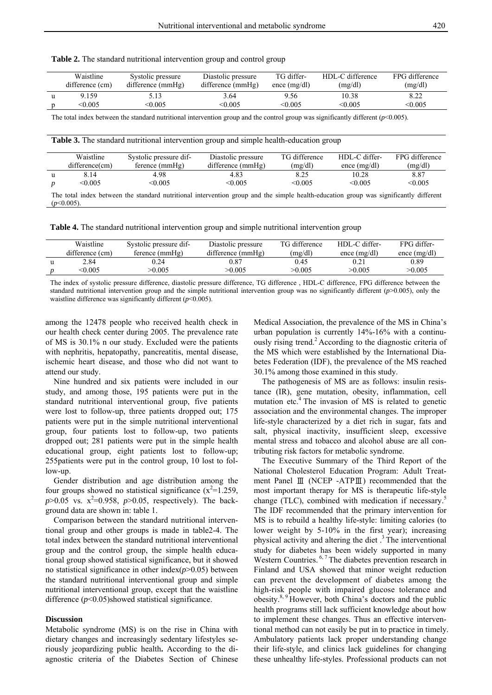| Waistline                                                                 | Systolic pressure                  | Diastolic pressure                                                                                               | TG differ- | HDL-C differe |
|---------------------------------------------------------------------------|------------------------------------|------------------------------------------------------------------------------------------------------------------|------------|---------------|
| $\mathcal{L}(\mathcal{L}_{\text{trans}} \times \mathcal{L}_{\text{max}})$ | $\mathbf{1} \mathbf{1} \mathbf{C}$ | $\text{d}(\mathcal{C}_{\text{measured}})$ ( <i>m</i> $\text{H}_{\text{e}}$ ) and ( <i>m</i> $\text{d}(\text{H})$ |            | (11)          |

| Table 2. The standard nutritional intervention group and control group |  |
|------------------------------------------------------------------------|--|
|------------------------------------------------------------------------|--|

| Waistline       | Systolic pressure | Diastolic pressure | TG differ-     | HDL-C difference | FPG difference |
|-----------------|-------------------|--------------------|----------------|------------------|----------------|
| difference (cm) | difference (mmHg) | difference (mmHg)  | ence $(mg/dl)$ | (mg/dl)          | (mg/dl)        |
| 9.159           | 5.13              | 3.64               | 9.56           | 10.38            | 8.22           |
| <0.005          | < 0.005           | < 0.005            | < 0.005        | < 0.005          | < 0.005        |

The total index between the standard nutritional intervention group and the control group was significantly different (*p*<0.005).

**Table 3.** The standard nutritional intervention group and simple health-education group

|                                                                                                                                                        | Waistline         | Systolic pressure dif- | Diastolic pressure | TG difference | HDL-C differ-  | FPG difference |  |
|--------------------------------------------------------------------------------------------------------------------------------------------------------|-------------------|------------------------|--------------------|---------------|----------------|----------------|--|
|                                                                                                                                                        | $difference$ (cm) | $f$ erence $(mmHg)$    | difference (mmHg)  | (mg/dl)       | ence $(mg/dl)$ | (mg/dl)        |  |
|                                                                                                                                                        | 8.14              | 4.98                   | 4.83               | 8.25          | 10.28          | 8.87           |  |
|                                                                                                                                                        | < 0.005           | < 0.005                | < 0.005            | < 0.005       | < 0.005        | < 0.005        |  |
| The total index between the standard nutritional intervention group and the simple health-education group was significantly different<br>$(p<0.005)$ . |                   |                        |                    |               |                |                |  |

**Table 4.** The standard nutritional intervention group and simple nutritional intervention group

| Waistline       | Systolic pressure dif- | Diastolic pressure | TG difference | HDL-C differ-  | FPG differ-    |
|-----------------|------------------------|--------------------|---------------|----------------|----------------|
| difference (cm) | ference (mmHg)         | difference (mmHg)  | (mg/dl)       | ence $(mg/dl)$ | ence $(mg/dl)$ |
| 2.84            | 0.24                   | $\rm 0.87$         | 0.45          |                | 0.89           |
| < 0.005         | 0.005                  | >0.005             | >0.005        | >0.005         | >0.005         |

The index of systolic pressure difference, diastolic pressure difference, TG difference , HDL-C difference, FPG difference between the standard nutritional intervention group and the simple nutritional intervention group was no significantly different (*p*>0.005), only the waistline difference was significantly different (*p*<0.005).

among the 12478 people who received health check in our health check center during 2005. The prevalence rate of MS is 30.1% n our study. Excluded were the patients with nephritis, hepatopathy, pancreatitis, mental disease, ischemic heart disease, and those who did not want to attend our study.

Nine hundred and six patients were included in our study, and among those, 195 patients were put in the standard nutritional interventional group, five patients were lost to follow-up, three patients dropped out; 175 patients were put in the simple nutritional interventional group, four patients lost to follow-up, two patients dropped out; 281 patients were put in the simple health educational group, eight patients lost to follow-up; 255patients were put in the control group, 10 lost to follow-up.

Gender distribution and age distribution among the four groups showed no statistical significance  $(x^2=1.259)$ ,  $p > 0.05$  vs.  $x^2 = 0.958$ ,  $p > 0.05$ , respectively). The background data are shown in: table 1.

Comparison between the standard nutritional interventional group and other groups is made in table2-4. The total index between the standard nutritional interventional group and the control group, the simple health educational group showed statistical significance, but it showed no statistical significance in other index $(p>0.05)$  between the standard nutritional interventional group and simple nutritional interventional group, except that the waistline difference (*p*<0.05)showed statistical significance.

## **Discussion**

Metabolic syndrome (MS) is on the rise in China with dietary changes and increasingly sedentary lifestyles seriously jeopardizing public health**.** According to the diagnostic criteria of the Diabetes Section of Chinese Medical Association, the prevalence of the MS in China's urban population is currently 14%-16% with a continuously rising trend.<sup>2</sup> According to the diagnostic criteria of the MS which were established by the International Diabetes Federation (IDF), the prevalence of the MS reached 30.1% among those examined in this study.

The pathogenesis of MS are as follows: insulin resistance (IR), gene mutation, obesity, inflammation, cell mutation etc.<sup>4</sup> The invasion of MS is related to genetic association and the environmental changes. The improper life-style characterized by a diet rich in sugar, fats and salt, physical inactivity, insufficient sleep, excessive mental stress and tobacco and alcohol abuse are all contributing risk factors for metabolic syndrome.

The Executive Summary of the Third Report of the National Cholesterol Education Program: Adult Treatment Panel Ⅲ (NCEP -ATPⅢ) recommended that the most important therapy for MS is therapeutic life-style change (TLC), combined with medication if necessary.<sup>5</sup> The IDF recommended that the primary intervention for MS is to rebuild a healthy life-style: limiting calories (to lower weight by 5-10% in the first year); increasing physical activity and altering the diet .3 The interventional study for diabetes has been widely supported in many Western Countries. <sup>6, 7</sup> The diabetes prevention research in Finland and USA showed that minor weight reduction can prevent the development of diabetes among the high-risk people with impaired glucose tolerance and obesity.8, 9 However, both China's doctors and the public health programs still lack sufficient knowledge about how to implement these changes. Thus an effective interventional method can not easily be put in to practice in timely. Ambulatory patients lack proper understanding change their life-style, and clinics lack guidelines for changing these unhealthy life-styles. Professional products can not